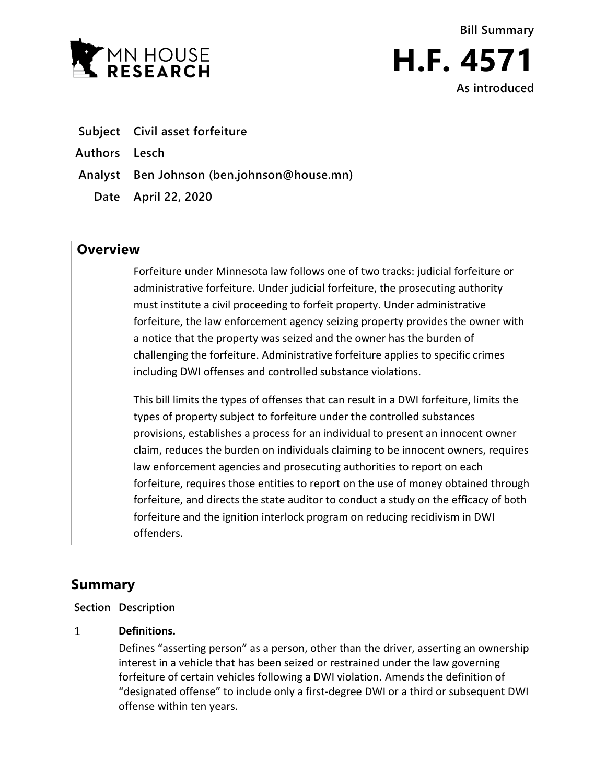



**Subject Civil asset forfeiture**

**Authors Lesch**

**Analyst Ben Johnson (ben.johnson@house.mn)**

**Date April 22, 2020**

# **Overview**

Forfeiture under Minnesota law follows one of two tracks: judicial forfeiture or administrative forfeiture. Under judicial forfeiture, the prosecuting authority must institute a civil proceeding to forfeit property. Under administrative forfeiture, the law enforcement agency seizing property provides the owner with a notice that the property was seized and the owner has the burden of challenging the forfeiture. Administrative forfeiture applies to specific crimes including DWI offenses and controlled substance violations.

This bill limits the types of offenses that can result in a DWI forfeiture, limits the types of property subject to forfeiture under the controlled substances provisions, establishes a process for an individual to present an innocent owner claim, reduces the burden on individuals claiming to be innocent owners, requires law enforcement agencies and prosecuting authorities to report on each forfeiture, requires those entities to report on the use of money obtained through forfeiture, and directs the state auditor to conduct a study on the efficacy of both forfeiture and the ignition interlock program on reducing recidivism in DWI offenders.

# **Summary**

# **Section Description**

# $\mathbf{1}$ **Definitions.**

Defines "asserting person" as a person, other than the driver, asserting an ownership interest in a vehicle that has been seized or restrained under the law governing forfeiture of certain vehicles following a DWI violation. Amends the definition of "designated offense" to include only a first-degree DWI or a third or subsequent DWI offense within ten years.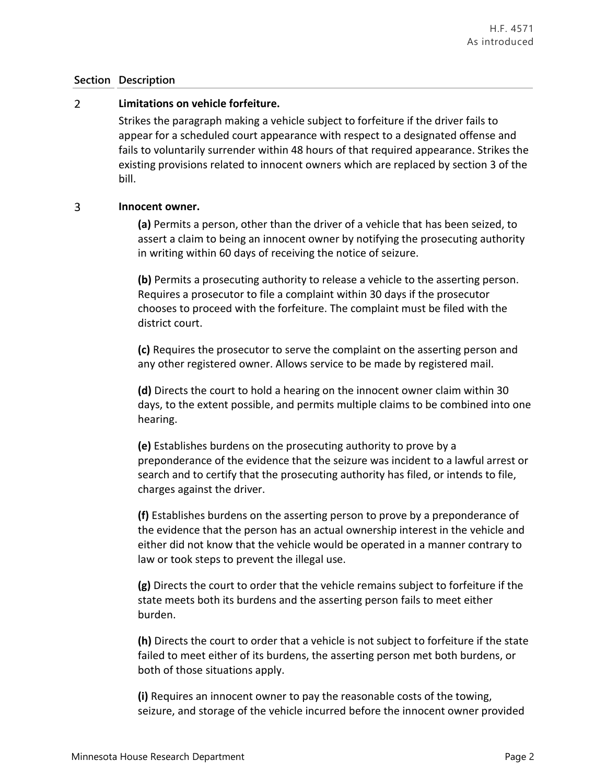# $\overline{2}$ **Limitations on vehicle forfeiture.**

Strikes the paragraph making a vehicle subject to forfeiture if the driver fails to appear for a scheduled court appearance with respect to a designated offense and fails to voluntarily surrender within 48 hours of that required appearance. Strikes the existing provisions related to innocent owners which are replaced by section 3 of the bill.

# 3 **Innocent owner.**

**(a)** Permits a person, other than the driver of a vehicle that has been seized, to assert a claim to being an innocent owner by notifying the prosecuting authority in writing within 60 days of receiving the notice of seizure.

**(b)** Permits a prosecuting authority to release a vehicle to the asserting person. Requires a prosecutor to file a complaint within 30 days if the prosecutor chooses to proceed with the forfeiture. The complaint must be filed with the district court.

**(c)** Requires the prosecutor to serve the complaint on the asserting person and any other registered owner. Allows service to be made by registered mail.

**(d)** Directs the court to hold a hearing on the innocent owner claim within 30 days, to the extent possible, and permits multiple claims to be combined into one hearing.

**(e)** Establishes burdens on the prosecuting authority to prove by a preponderance of the evidence that the seizure was incident to a lawful arrest or search and to certify that the prosecuting authority has filed, or intends to file, charges against the driver.

**(f)** Establishes burdens on the asserting person to prove by a preponderance of the evidence that the person has an actual ownership interest in the vehicle and either did not know that the vehicle would be operated in a manner contrary to law or took steps to prevent the illegal use.

**(g)** Directs the court to order that the vehicle remains subject to forfeiture if the state meets both its burdens and the asserting person fails to meet either burden.

**(h)** Directs the court to order that a vehicle is not subject to forfeiture if the state failed to meet either of its burdens, the asserting person met both burdens, or both of those situations apply.

**(i)** Requires an innocent owner to pay the reasonable costs of the towing, seizure, and storage of the vehicle incurred before the innocent owner provided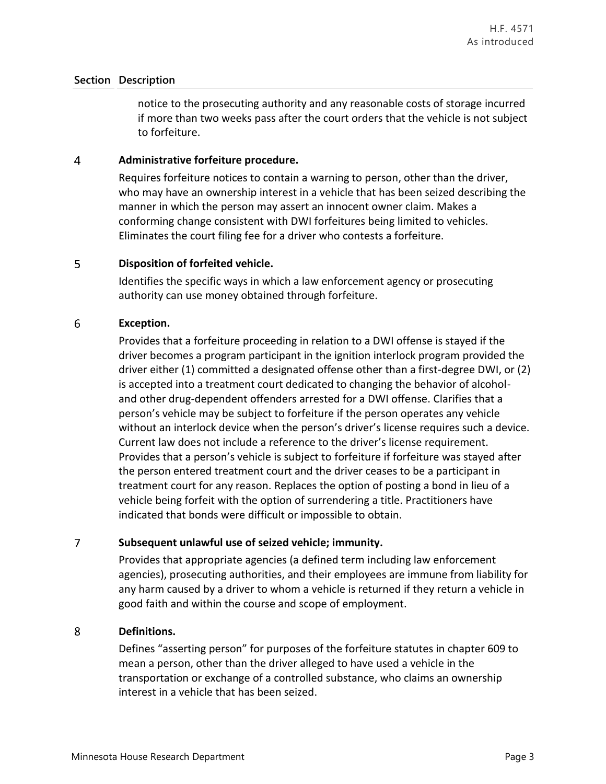notice to the prosecuting authority and any reasonable costs of storage incurred if more than two weeks pass after the court orders that the vehicle is not subject to forfeiture.

# $\overline{4}$ **Administrative forfeiture procedure.**

Requires forfeiture notices to contain a warning to person, other than the driver, who may have an ownership interest in a vehicle that has been seized describing the manner in which the person may assert an innocent owner claim. Makes a conforming change consistent with DWI forfeitures being limited to vehicles. Eliminates the court filing fee for a driver who contests a forfeiture.

# 5 **Disposition of forfeited vehicle.**

Identifies the specific ways in which a law enforcement agency or prosecuting authority can use money obtained through forfeiture.

# 6 **Exception.**

Provides that a forfeiture proceeding in relation to a DWI offense is stayed if the driver becomes a program participant in the ignition interlock program provided the driver either (1) committed a designated offense other than a first-degree DWI, or (2) is accepted into a treatment court dedicated to changing the behavior of alcoholand other drug-dependent offenders arrested for a DWI offense. Clarifies that a person's vehicle may be subject to forfeiture if the person operates any vehicle without an interlock device when the person's driver's license requires such a device. Current law does not include a reference to the driver's license requirement. Provides that a person's vehicle is subject to forfeiture if forfeiture was stayed after the person entered treatment court and the driver ceases to be a participant in treatment court for any reason. Replaces the option of posting a bond in lieu of a vehicle being forfeit with the option of surrendering a title. Practitioners have indicated that bonds were difficult or impossible to obtain.

# $\overline{7}$ **Subsequent unlawful use of seized vehicle; immunity.**

Provides that appropriate agencies (a defined term including law enforcement agencies), prosecuting authorities, and their employees are immune from liability for any harm caused by a driver to whom a vehicle is returned if they return a vehicle in good faith and within the course and scope of employment.

# 8 **Definitions.**

Defines "asserting person" for purposes of the forfeiture statutes in chapter 609 to mean a person, other than the driver alleged to have used a vehicle in the transportation or exchange of a controlled substance, who claims an ownership interest in a vehicle that has been seized.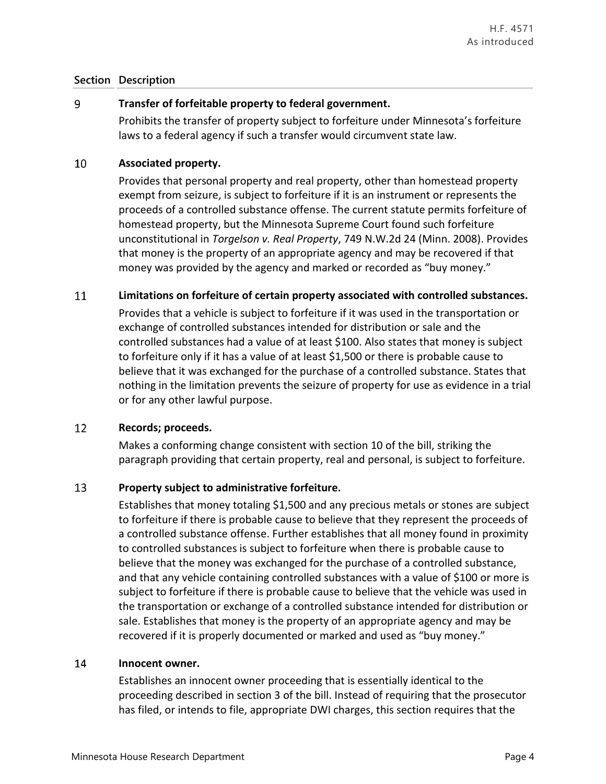# 9 **Transfer of forfeitable property to federal government.**

Prohibits the transfer of property subject to forfeiture under Minnesota's forfeiture laws to a federal agency if such a transfer would circumvent state law.

### 10 **Associated property.**

Provides that personal property and real property, other than homestead property exempt from seizure, is subject to forfeiture if it is an instrument or represents the proceeds of a controlled substance offense. The current statute permits forfeiture of homestead property, but the Minnesota Supreme Court found such forfeiture unconstitutional in *Torgelson v. Real Property*, 749 N.W.2d 24 (Minn. 2008). Provides that money is the property of an appropriate agency and may be recovered if that money was provided by the agency and marked or recorded as "buy money."

# 11 **Limitations on forfeiture of certain property associated with controlled substances.**

Provides that a vehicle is subject to forfeiture if it was used in the transportation or exchange of controlled substances intended for distribution or sale and the controlled substances had a value of at least \$100. Also states that money is subject to forfeiture only if it has a value of at least \$1,500 or there is probable cause to believe that it was exchanged for the purchase of a controlled substance. States that nothing in the limitation prevents the seizure of property for use as evidence in a trial or for any other lawful purpose.

# 12 **Records; proceeds.**

Makes a conforming change consistent with section 10 of the bill, striking the paragraph providing that certain property, real and personal, is subject to forfeiture.

# 13 **Property subject to administrative forfeiture.**

Establishes that money totaling \$1,500 and any precious metals or stones are subject to forfeiture if there is probable cause to believe that they represent the proceeds of a controlled substance offense. Further establishes that all money found in proximity to controlled substances is subject to forfeiture when there is probable cause to believe that the money was exchanged for the purchase of a controlled substance, and that any vehicle containing controlled substances with a value of \$100 or more is subject to forfeiture if there is probable cause to believe that the vehicle was used in the transportation or exchange of a controlled substance intended for distribution or sale. Establishes that money is the property of an appropriate agency and may be recovered if it is properly documented or marked and used as "buy money."

# 14 **Innocent owner.**

Establishes an innocent owner proceeding that is essentially identical to the proceeding described in section 3 of the bill. Instead of requiring that the prosecutor has filed, or intends to file, appropriate DWI charges, this section requires that the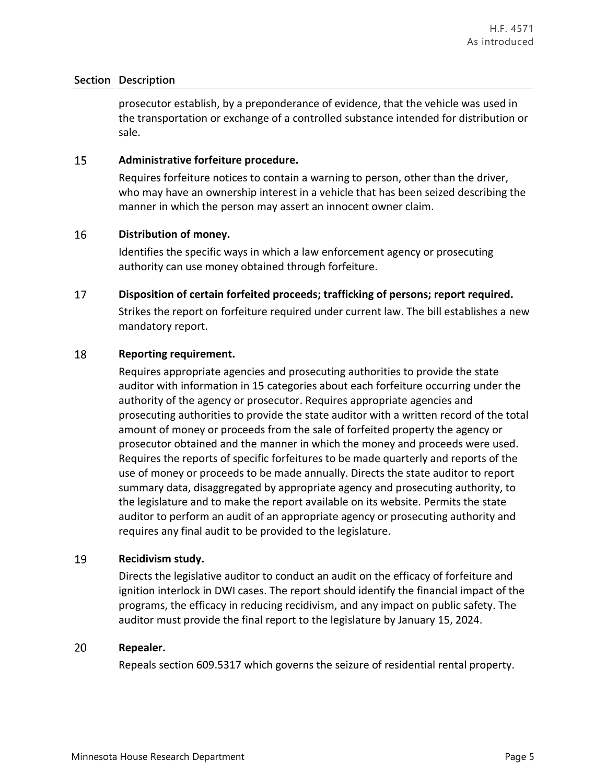prosecutor establish, by a preponderance of evidence, that the vehicle was used in the transportation or exchange of a controlled substance intended for distribution or sale.

### 15 **Administrative forfeiture procedure.**

Requires forfeiture notices to contain a warning to person, other than the driver, who may have an ownership interest in a vehicle that has been seized describing the manner in which the person may assert an innocent owner claim.

#### 16 **Distribution of money.**

Identifies the specific ways in which a law enforcement agency or prosecuting authority can use money obtained through forfeiture.

17 **Disposition of certain forfeited proceeds; trafficking of persons; report required.**

> Strikes the report on forfeiture required under current law. The bill establishes a new mandatory report.

#### 18 **Reporting requirement.**

Requires appropriate agencies and prosecuting authorities to provide the state auditor with information in 15 categories about each forfeiture occurring under the authority of the agency or prosecutor. Requires appropriate agencies and prosecuting authorities to provide the state auditor with a written record of the total amount of money or proceeds from the sale of forfeited property the agency or prosecutor obtained and the manner in which the money and proceeds were used. Requires the reports of specific forfeitures to be made quarterly and reports of the use of money or proceeds to be made annually. Directs the state auditor to report summary data, disaggregated by appropriate agency and prosecuting authority, to the legislature and to make the report available on its website. Permits the state auditor to perform an audit of an appropriate agency or prosecuting authority and requires any final audit to be provided to the legislature.

# 19 **Recidivism study.**

Directs the legislative auditor to conduct an audit on the efficacy of forfeiture and ignition interlock in DWI cases. The report should identify the financial impact of the programs, the efficacy in reducing recidivism, and any impact on public safety. The auditor must provide the final report to the legislature by January 15, 2024.

#### 20 **Repealer.**

Repeals section 609.5317 which governs the seizure of residential rental property.